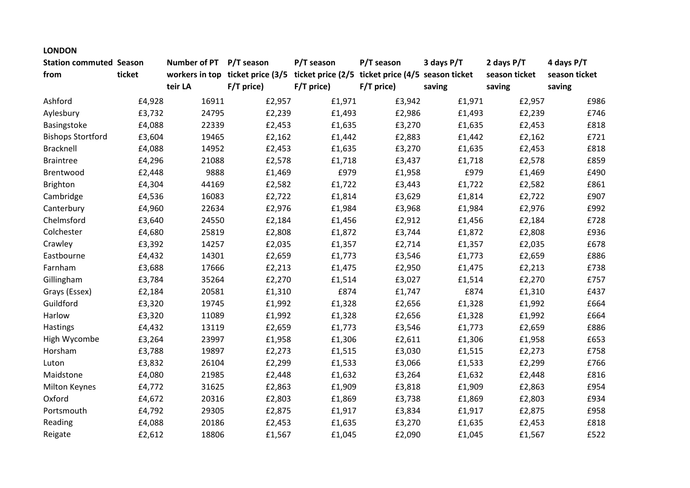# **LONDON**

| <b>Station commuted Season</b> |        | Number of PT P/T season |                                                                                    | P/T season | P/T season | 3 days P/T | 2 days P/T    | 4 days P/T    |
|--------------------------------|--------|-------------------------|------------------------------------------------------------------------------------|------------|------------|------------|---------------|---------------|
| from                           | ticket |                         | workers in top ticket price (3/5 ticket price (2/5 ticket price (4/5 season ticket |            |            |            | season ticket | season ticket |
|                                |        | teir LA                 | F/T price)                                                                         | F/T price) | F/T price) | saving     | saving        | saving        |
| Ashford                        | £4,928 | 16911                   | £2,957                                                                             | £1,971     | £3,942     | £1,971     | £2,957        | £986          |
| Aylesbury                      | £3,732 | 24795                   | £2,239                                                                             | £1,493     | £2,986     | £1,493     | £2,239        | £746          |
| Basingstoke                    | £4,088 | 22339                   | £2,453                                                                             | £1,635     | £3,270     | £1,635     | £2,453        | £818          |
| <b>Bishops Stortford</b>       | £3,604 | 19465                   | £2,162                                                                             | £1,442     | £2,883     | £1,442     | £2,162        | £721          |
| Bracknell                      | £4,088 | 14952                   | £2,453                                                                             | £1,635     | £3,270     | £1,635     | £2,453        | £818          |
| <b>Braintree</b>               | £4,296 | 21088                   | £2,578                                                                             | £1,718     | £3,437     | £1,718     | £2,578        | £859          |
| Brentwood                      | £2,448 | 9888                    | £1,469                                                                             | £979       | £1,958     | £979       | £1,469        | £490          |
| <b>Brighton</b>                | £4,304 | 44169                   | £2,582                                                                             | £1,722     | £3,443     | £1,722     | £2,582        | £861          |
| Cambridge                      | £4,536 | 16083                   | £2,722                                                                             | £1,814     | £3,629     | £1,814     | £2,722        | £907          |
| Canterbury                     | £4,960 | 22634                   | £2,976                                                                             | £1,984     | £3,968     | £1,984     | £2,976        | £992          |
| Chelmsford                     | £3,640 | 24550                   | £2,184                                                                             | £1,456     | £2,912     | £1,456     | £2,184        | £728          |
| Colchester                     | £4,680 | 25819                   | £2,808                                                                             | £1,872     | £3,744     | £1,872     | £2,808        | £936          |
| Crawley                        | £3,392 | 14257                   | £2,035                                                                             | £1,357     | £2,714     | £1,357     | £2,035        | £678          |
| Eastbourne                     | £4,432 | 14301                   | £2,659                                                                             | £1,773     | £3,546     | £1,773     | £2,659        | £886          |
| Farnham                        | £3,688 | 17666                   | £2,213                                                                             | £1,475     | £2,950     | £1,475     | £2,213        | £738          |
| Gillingham                     | £3,784 | 35264                   | £2,270                                                                             | £1,514     | £3,027     | £1,514     | £2,270        | £757          |
| Grays (Essex)                  | £2,184 | 20581                   | £1,310                                                                             | £874       | £1,747     | £874       | £1,310        | £437          |
| Guildford                      | £3,320 | 19745                   | £1,992                                                                             | £1,328     | £2,656     | £1,328     | £1,992        | £664          |
| Harlow                         | £3,320 | 11089                   | £1,992                                                                             | £1,328     | £2,656     | £1,328     | £1,992        | £664          |
| <b>Hastings</b>                | £4,432 | 13119                   | £2,659                                                                             | £1,773     | £3,546     | £1,773     | £2,659        | £886          |
| High Wycombe                   | £3,264 | 23997                   | £1,958                                                                             | £1,306     | £2,611     | £1,306     | £1,958        | £653          |
| Horsham                        | £3,788 | 19897                   | £2,273                                                                             | £1,515     | £3,030     | £1,515     | £2,273        | £758          |
| Luton                          | £3,832 | 26104                   | £2,299                                                                             | £1,533     | £3,066     | £1,533     | £2,299        | £766          |
| Maidstone                      | £4,080 | 21985                   | £2,448                                                                             | £1,632     | £3,264     | £1,632     | £2,448        | £816          |
| Milton Keynes                  | £4,772 | 31625                   | £2,863                                                                             | £1,909     | £3,818     | £1,909     | £2,863        | £954          |
| Oxford                         | £4,672 | 20316                   | £2,803                                                                             | £1,869     | £3,738     | £1,869     | £2,803        | £934          |
| Portsmouth                     | £4,792 | 29305                   | £2,875                                                                             | £1,917     | £3,834     | £1,917     | £2,875        | £958          |
| Reading                        | £4,088 | 20186                   | £2,453                                                                             | £1,635     | £3,270     | £1,635     | £2,453        | £818          |
| Reigate                        | £2,612 | 18806                   | £1,567                                                                             | £1,045     | £2,090     | £1,045     | £1,567        | £522          |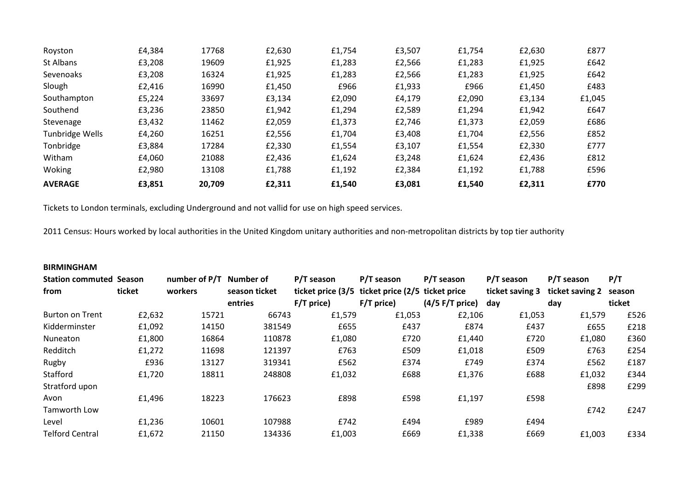| Royston          | £4,384 | 17768  | £2,630 | £1,754 | £3,507 | £1,754 | £2,630 | £877   |
|------------------|--------|--------|--------|--------|--------|--------|--------|--------|
| St Albans        | £3,208 | 19609  | £1,925 | £1,283 | £2,566 | £1,283 | £1,925 | £642   |
| <b>Sevenoaks</b> | £3,208 | 16324  | £1,925 | £1,283 | £2,566 | £1,283 | £1,925 | £642   |
| Slough           | £2,416 | 16990  | £1,450 | £966   | £1,933 | £966   | £1,450 | £483   |
| Southampton      | £5,224 | 33697  | £3,134 | £2,090 | £4,179 | £2,090 | £3,134 | £1,045 |
| Southend         | £3,236 | 23850  | £1,942 | £1,294 | £2,589 | £1,294 | £1,942 | £647   |
| Stevenage        | £3,432 | 11462  | £2,059 | £1,373 | £2,746 | £1,373 | £2,059 | £686   |
| Tunbridge Wells  | £4,260 | 16251  | £2,556 | £1,704 | £3,408 | £1,704 | £2,556 | £852   |
| Tonbridge        | £3,884 | 17284  | £2,330 | £1,554 | £3,107 | £1,554 | £2,330 | £777   |
| Witham           | £4,060 | 21088  | £2,436 | £1,624 | £3,248 | £1,624 | £2,436 | £812   |
| <b>Woking</b>    | £2,980 | 13108  | £1,788 | £1,192 | £2,384 | £1,192 | £1,788 | £596   |
| <b>AVERAGE</b>   | £3,851 | 20,709 | £2,311 | £1,540 | £3,081 | £1,540 | £2,311 | £770   |

Tickets to London terminals, excluding Underground and not vallid for use on high speed services.

2011 Census: Hours worked by local authorities in the United Kingdom unitary authorities and non-metropolitan districts by top tier authority

## **BIRMINGHAM**

| <b>Station commuted Season</b> |        | number of $P/T$ | Number of     | P/T season                                       | P/T season   | P/T season         | P/T season      | P/T season      | P/T    |
|--------------------------------|--------|-----------------|---------------|--------------------------------------------------|--------------|--------------------|-----------------|-----------------|--------|
| from                           | ticket | workers         | season ticket | ticket price (3/5 ticket price (2/5 ticket price |              |                    | ticket saving 3 | ticket saving 2 | season |
|                                |        |                 | entries       | $F/T$ price)                                     | $F/T$ price) | $(4/5)$ F/T price) | day             | day             | ticket |
| <b>Burton on Trent</b>         | £2,632 | 15721           | 66743         | £1,579                                           | £1,053       | £2,106             | £1,053          | £1,579          | £526   |
| Kidderminster                  | £1,092 | 14150           | 381549        | £655                                             | £437         | £874               | £437            | £655            | £218   |
| Nuneaton                       | £1,800 | 16864           | 110878        | £1,080                                           | £720         | £1,440             | £720            | £1,080          | £360   |
| Redditch                       | £1,272 | 11698           | 121397        | £763                                             | £509         | £1,018             | £509            | £763            | £254   |
| Rugby                          | £936   | 13127           | 319341        | £562                                             | £374         | £749               | £374            | £562            | £187   |
| Stafford                       | £1,720 | 18811           | 248808        | £1,032                                           | £688         | £1,376             | £688            | £1,032          | £344   |
| Stratford upon                 |        |                 |               |                                                  |              |                    |                 | £898            | £299   |
| Avon                           | £1,496 | 18223           | 176623        | £898                                             | £598         | £1,197             | £598            |                 |        |
| Tamworth Low                   |        |                 |               |                                                  |              |                    |                 | £742            | £247   |
| Level                          | £1,236 | 10601           | 107988        | £742                                             | £494         | £989               | £494            |                 |        |
| <b>Telford Central</b>         | £1,672 | 21150           | 134336        | £1,003                                           | £669         | £1,338             | £669            | £1,003          | £334   |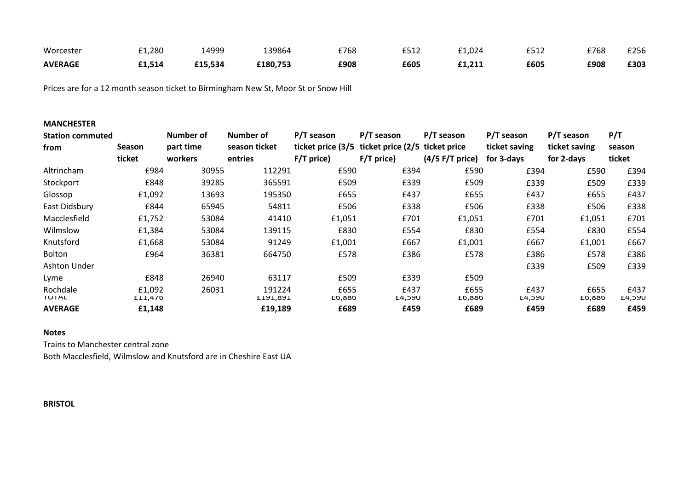| Worcester      | 1,280ء | 14999   | 39864    | £768 | £512 | $-1,024$ | CE 4 7<br>t51Z | £768 | £256 |
|----------------|--------|---------|----------|------|------|----------|----------------|------|------|
| <b>AVERAGE</b> | £1,514 | £15,534 | £180,753 | £908 | £605 | £1,211   | £605           | £908 | £303 |

Prices are for a 12 month season ticket to Birmingham New St, Moor St or Snow Hill

#### **MANCHESTER**

| <b>Station commuted</b>  |                   | Number of | Number of                 | P/T season                                       | P/T season            | P/T season        | P/T season     | P/T season      | P/T                   |
|--------------------------|-------------------|-----------|---------------------------|--------------------------------------------------|-----------------------|-------------------|----------------|-----------------|-----------------------|
| from                     | <b>Season</b>     | part time | season ticket             | ticket price (3/5 ticket price (2/5 ticket price |                       |                   | ticket saving  | ticket saving   | season                |
|                          | ticket            | workers   | entries                   | F/T price)                                       | F/T price)            | $(4/5 F/T$ price) | for 3-days     | for 2-days      | ticket                |
| Altrincham               | £984              | 30955     | 112291                    | £590                                             | £394                  | £590              | £394           | £590            | £394                  |
| Stockport                | £848              | 39285     | 365591                    | £509                                             | £339                  | £509              | £339           | £509            | £339                  |
| Glossop                  | £1,092            | 13693     | 195350                    | £655                                             | £437                  | £655              | £437           | £655            | £437                  |
| East Didsbury            | £844              | 65945     | 54811                     | £506                                             | £338                  | £506              | £338           | £506            | £338                  |
| Macclesfield             | £1,752            | 53084     | 41410                     | £1,051                                           | £701                  | £1,051            | £701           | £1,051          | £701                  |
| Wilmslow                 | £1,384            | 53084     | 139115                    | £830                                             | £554                  | £830              | £554           | £830            | £554                  |
| Knutsford                | £1,668            | 53084     | 91249                     | £1,001                                           | £667                  | £1,001            | £667           | £1,001          | £667                  |
| <b>Bolton</b>            | £964              | 36381     | 664750                    | £578                                             | £386                  | £578              | £386           | £578            | £386                  |
| Ashton Under             |                   |           |                           |                                                  |                       |                   | £339           | £509            | £339                  |
| Lyme                     | £848              | 26940     | 63117                     | £509                                             | £339                  | £509              |                |                 |                       |
| Rochdale<br><b>IUIAL</b> | £1,092<br>L11,470 | 26031     | 191224<br><b>TTAT'9AT</b> | £655<br>LO,880                                   | £437<br><b>14,5YU</b> | £655<br>LO,880    | £437<br>エ4,コソリ | £655<br>LO, 880 | £437<br><b>14,5YU</b> |
| <b>AVERAGE</b>           | £1,148            |           | £19,189                   | £689                                             | £459                  | £689              | £459           | £689            | £459                  |

# **Notes**

Trains to Manchester central zone

Both Macclesfield, Wilmslow and Knutsford are in Cheshire East UA

### **BRISTOL**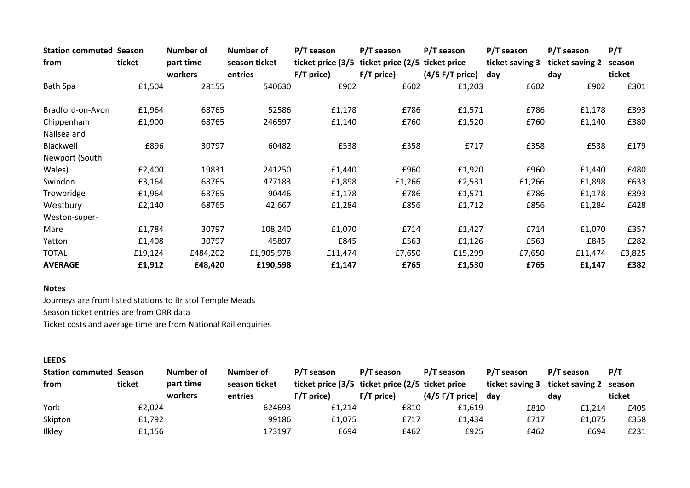| <b>Station commuted Season</b> |         | <b>Number of</b> | Number of     | P/T season                                       | P/T season   | P/T season        | P/T season      | P/T season      | P/T    |
|--------------------------------|---------|------------------|---------------|--------------------------------------------------|--------------|-------------------|-----------------|-----------------|--------|
| from                           | ticket  | part time        | season ticket | ticket price (3/5 ticket price (2/5 ticket price |              |                   | ticket saving 3 | ticket saving 2 | season |
|                                |         | workers          | entries       | $F/T$ price)                                     | $F/T$ price) | $(4/5 F/T$ price) | day             | day             | ticket |
| Bath Spa                       | £1,504  | 28155            | 540630        | £902                                             | £602         | £1,203            | £602            | £902            | £301   |
| Bradford-on-Avon               | £1,964  | 68765            | 52586         | £1,178                                           | £786         | £1,571            | £786            | £1,178          | £393   |
| Chippenham                     | £1,900  | 68765            | 246597        | £1,140                                           | £760         | £1,520            | £760            | £1,140          | £380   |
| Nailsea and                    |         |                  |               |                                                  |              |                   |                 |                 |        |
| Blackwell                      | £896    | 30797            | 60482         | £538                                             | £358         | £717              | £358            | £538            | £179   |
| Newport (South                 |         |                  |               |                                                  |              |                   |                 |                 |        |
| Wales)                         | £2,400  | 19831            | 241250        | £1,440                                           | £960         | £1,920            | £960            | £1,440          | £480   |
| Swindon                        | £3,164  | 68765            | 477183        | £1,898                                           | £1,266       | £2,531            | £1,266          | £1,898          | £633   |
| Trowbridge                     | £1,964  | 68765            | 90446         | £1,178                                           | £786         | £1,571            | £786            | £1,178          | £393   |
| Westbury                       | £2,140  | 68765            | 42,667        | £1,284                                           | £856         | £1,712            | £856            | £1,284          | £428   |
| Weston-super-                  |         |                  |               |                                                  |              |                   |                 |                 |        |
| Mare                           | £1,784  | 30797            | 108,240       | £1,070                                           | £714         | £1,427            | £714            | £1,070          | £357   |
| Yatton                         | £1,408  | 30797            | 45897         | £845                                             | £563         | £1,126            | £563            | £845            | £282   |
| <b>TOTAL</b>                   | £19,124 | £484,202         | £1,905,978    | £11,474                                          | £7,650       | £15,299           | £7,650          | £11,474         | £3,825 |
| <b>AVERAGE</b>                 | £1,912  | £48,420          | £190,598      | £1,147                                           | £765         | £1,530            | £765            | £1,147          | £382   |

#### **Notes**

Journeys are from listed stations to Bristol Temple Meads Season ticket entries are from ORR data Ticket costs and average time are from National Rail enquiries

## **LEEDS**

| <b>Station commuted Season</b> |        | Number of | Number of     | P/T season                                       | P/T season | P/T season                | P/T season      | P/T season      | P/T    |
|--------------------------------|--------|-----------|---------------|--------------------------------------------------|------------|---------------------------|-----------------|-----------------|--------|
| from                           | ticket | part time | season ticket | ticket price (3/5 ticket price (2/5 ticket price |            |                           | ticket saving 3 | ticket saving 2 | season |
|                                |        | workers   | entries       | F/T price)                                       | F/T price) | $(4/5 \text{ F/T price})$ | dav             | dav             | ticket |
| York                           | £2.024 |           | 624693        | £1.214                                           | £810       | £1,619                    | £810            | £1.214          | £405   |
| Skipton                        | £1,792 |           | 99186         | £1.075                                           | £717       | £1.434                    | £717            | £1.075          | £358   |
| Ilkley                         | £1,156 |           | 173197        | £694                                             | £462       | £925                      | £462            | £694            | £231   |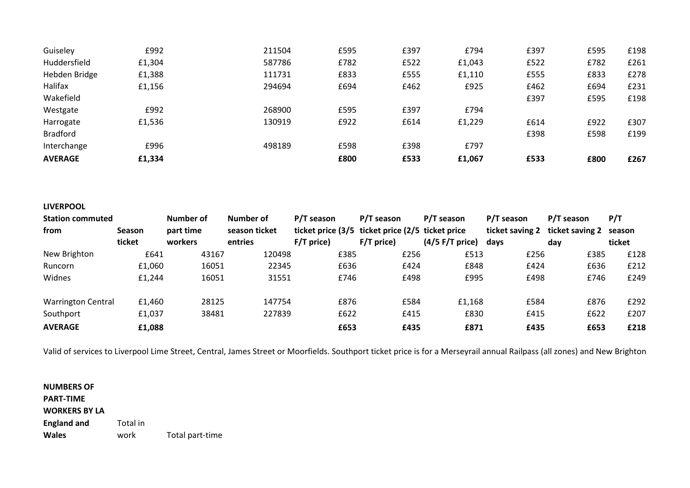| Guiseley        | £992   | 211504 | £595 | £397 | £794   | £397 | £595 | £198 |
|-----------------|--------|--------|------|------|--------|------|------|------|
| Huddersfield    | £1,304 | 587786 | £782 | £522 | £1,043 | £522 | £782 | £261 |
| Hebden Bridge   | £1,388 | 111731 | £833 | £555 | £1,110 | £555 | £833 | £278 |
| Halifax         | £1,156 | 294694 | £694 | £462 | £925   | £462 | £694 | £231 |
| Wakefield       |        |        |      |      |        | £397 | £595 | £198 |
| Westgate        | £992   | 268900 | £595 | £397 | £794   |      |      |      |
| Harrogate       | £1,536 | 130919 | £922 | £614 | £1,229 | £614 | £922 | £307 |
| <b>Bradford</b> |        |        |      |      |        | £398 | £598 | £199 |
| Interchange     | £996   | 498189 | £598 | £398 | £797   |      |      |      |
| <b>AVERAGE</b>  | £1,334 |        | £800 | £533 | £1,067 | £533 | £800 | £267 |

### **LIVERPOOL**

| <b>Station commuted</b>   |               | Number of | Number of     | P/T season                                       | P/T season   | P/T season         | P/T season      | P/T season             | P/T    |
|---------------------------|---------------|-----------|---------------|--------------------------------------------------|--------------|--------------------|-----------------|------------------------|--------|
| from                      | <b>Season</b> | part time | season ticket | ticket price (3/5 ticket price (2/5 ticket price |              |                    | ticket saving 2 | ticket saving 2 season |        |
|                           | ticket        | workers   | entries       | $F/T$ price)                                     | $F/T$ price) | $(4/5)$ F/T price) | davs            | day                    | ticket |
| New Brighton              | £641          | 43167     | 120498        | £385                                             | £256         | £513               | £256            | £385                   | £128   |
| Runcorn                   | £1,060        | 16051     | 22345         | £636                                             | £424         | £848               | £424            | £636                   | £212   |
| Widnes                    | £1,244        | 16051     | 31551         | £746                                             | £498         | £995               | £498            | £746                   | £249   |
| <b>Warrington Central</b> | £1,460        | 28125     | 147754        | £876                                             | £584         | £1,168             | £584            | £876                   | £292   |
| Southport                 | £1,037        | 38481     | 227839        | £622                                             | £415         | £830               | £415            | £622                   | £207   |
| <b>AVERAGE</b>            | £1,088        |           |               | £653                                             | £435         | £871               | £435            | £653                   | £218   |

Valid of services to Liverpool Lime Street, Central, James Street or Moorfields. Southport ticket price is for a Merseyrail annual Railpass (all zones) and New Brighton

**NUMBERS OF PART-TIME WORKERS BY LA England and Wales** Total in work Total part-time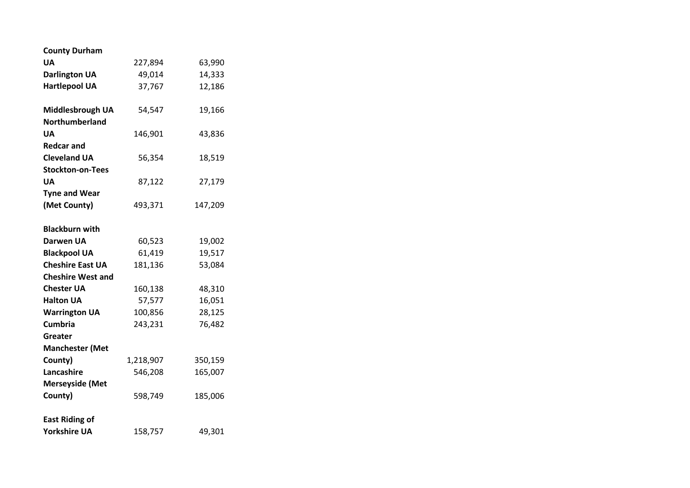| <b>County Durham</b>     |           |         |
|--------------------------|-----------|---------|
| UA                       | 227,894   | 63,990  |
| <b>Darlington UA</b>     | 49,014    | 14,333  |
| <b>Hartlepool UA</b>     | 37,767    | 12,186  |
| Middlesbrough UA         | 54,547    | 19,166  |
| <b>Northumberland</b>    |           |         |
| UA                       | 146,901   | 43,836  |
| <b>Redcar and</b>        |           |         |
| <b>Cleveland UA</b>      | 56,354    | 18,519  |
| <b>Stockton-on-Tees</b>  |           |         |
| UA                       | 87,122    | 27,179  |
| <b>Tyne and Wear</b>     |           |         |
| (Met County)             | 493,371   | 147,209 |
| <b>Blackburn with</b>    |           |         |
| Darwen UA                | 60,523    | 19,002  |
| <b>Blackpool UA</b>      | 61,419    | 19,517  |
| <b>Cheshire East UA</b>  | 181,136   | 53,084  |
| <b>Cheshire West and</b> |           |         |
| <b>Chester UA</b>        | 160,138   | 48,310  |
| <b>Halton UA</b>         | 57,577    | 16,051  |
| <b>Warrington UA</b>     | 100,856   | 28,125  |
| <b>Cumbria</b>           | 243,231   | 76,482  |
| Greater                  |           |         |
| <b>Manchester (Met</b>   |           |         |
| County)                  | 1,218,907 | 350,159 |
| Lancashire               | 546,208   | 165,007 |
| <b>Merseyside (Met</b>   |           |         |
| County)                  | 598,749   | 185,006 |
| <b>East Riding of</b>    |           |         |
| <b>Yorkshire UA</b>      | 158,757   | 49,301  |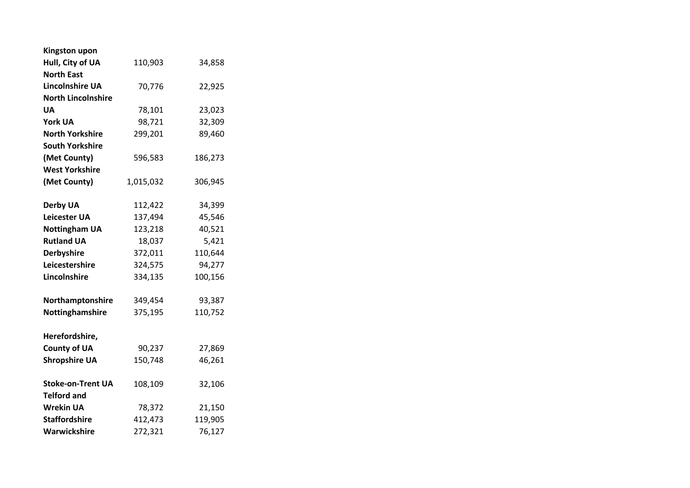| <b>Kingston upon</b>      |                    |                  |  |
|---------------------------|--------------------|------------------|--|
| Hull, City of UA          | 110,903            | 34,858           |  |
| <b>North East</b>         |                    |                  |  |
| <b>Lincolnshire UA</b>    | 70,776             | 22,925           |  |
| <b>North Lincolnshire</b> |                    |                  |  |
| <b>UA</b>                 | 78,101             | 23,023           |  |
| <b>York UA</b>            | 98,721             | 32,309           |  |
| <b>North Yorkshire</b>    | 299,201            | 89,460           |  |
| <b>South Yorkshire</b>    |                    |                  |  |
| (Met County)              | 596,583            | 186,273          |  |
| <b>West Yorkshire</b>     |                    |                  |  |
| (Met County)              | 1,015,032          | 306,945          |  |
| <b>Derby UA</b>           |                    |                  |  |
| <b>Leicester UA</b>       | 112,422<br>137,494 | 34,399<br>45,546 |  |
| <b>Nottingham UA</b>      | 123,218            | 40,521           |  |
| <b>Rutland UA</b>         | 18,037             | 5,421            |  |
| <b>Derbyshire</b>         | 372,011            | 110,644          |  |
| Leicestershire            | 324,575            | 94,277           |  |
| Lincolnshire              | 334,135            | 100,156          |  |
|                           |                    |                  |  |
| Northamptonshire          | 349,454            | 93,387           |  |
| Nottinghamshire           | 375,195            | 110,752          |  |
| Herefordshire,            |                    |                  |  |
| <b>County of UA</b>       | 90,237             | 27,869           |  |
| <b>Shropshire UA</b>      | 150,748            | 46,261           |  |
|                           |                    |                  |  |
| <b>Stoke-on-Trent UA</b>  | 108,109            | 32,106           |  |
| <b>Telford and</b>        |                    |                  |  |
| <b>Wrekin UA</b>          | 78,372             | 21,150           |  |
| <b>Staffordshire</b>      | 412,473            | 119,905          |  |
| Warwickshire              | 272,321            | 76,127           |  |
|                           |                    |                  |  |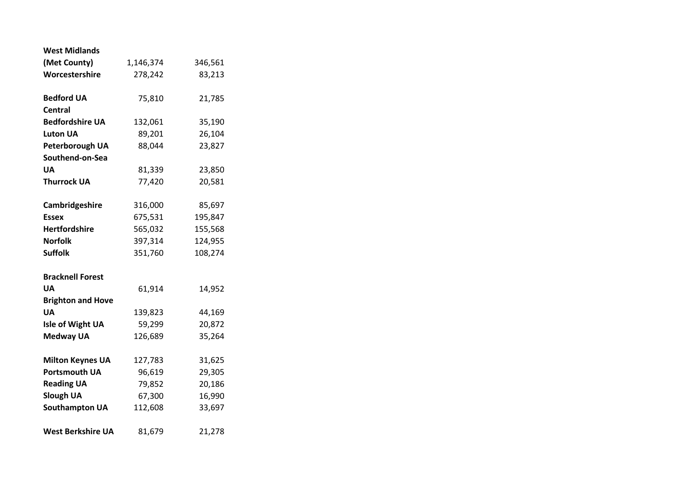| <b>West Midlands</b>     |           |         |
|--------------------------|-----------|---------|
| (Met County)             | 1,146,374 | 346,561 |
| Worcestershire           | 278,242   | 83,213  |
| <b>Bedford UA</b>        | 75,810    | 21,785  |
| Central                  |           |         |
| <b>Bedfordshire UA</b>   | 132,061   | 35,190  |
| <b>Luton UA</b>          | 89,201    | 26,104  |
| Peterborough UA          | 88,044    | 23,827  |
| Southend-on-Sea          |           |         |
| <b>UA</b>                | 81,339    | 23,850  |
| <b>Thurrock UA</b>       | 77,420    | 20,581  |
| Cambridgeshire           | 316,000   | 85,697  |
| <b>Essex</b>             | 675,531   | 195,847 |
| <b>Hertfordshire</b>     | 565,032   | 155,568 |
| <b>Norfolk</b>           | 397,314   | 124,955 |
| <b>Suffolk</b>           | 351,760   | 108,274 |
| <b>Bracknell Forest</b>  |           |         |
| UA                       | 61,914    | 14,952  |
| <b>Brighton and Hove</b> |           |         |
| UΑ                       | 139,823   | 44,169  |
| Isle of Wight UA         | 59,299    | 20,872  |
| <b>Medway UA</b>         | 126,689   | 35,264  |
| <b>Milton Keynes UA</b>  | 127,783   | 31,625  |
| Portsmouth UA            | 96,619    | 29,305  |
| <b>Reading UA</b>        | 79,852    | 20,186  |
| <b>Slough UA</b>         | 67,300    | 16,990  |
| <b>Southampton UA</b>    | 112,608   | 33,697  |
| <b>West Berkshire UA</b> | 81,679    | 21,278  |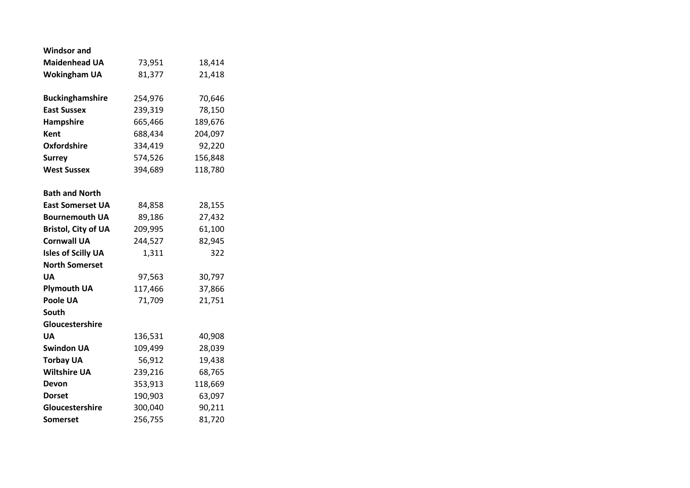| <b>Windsor and</b>         |         |         |
|----------------------------|---------|---------|
| <b>Maidenhead UA</b>       | 73,951  | 18,414  |
| <b>Wokingham UA</b>        | 81,377  | 21,418  |
| <b>Buckinghamshire</b>     | 254,976 | 70,646  |
| <b>East Sussex</b>         | 239,319 | 78,150  |
| <b>Hampshire</b>           | 665,466 | 189,676 |
| <b>Kent</b>                | 688,434 | 204,097 |
| <b>Oxfordshire</b>         | 334,419 | 92,220  |
| <b>Surrey</b>              | 574,526 | 156,848 |
| <b>West Sussex</b>         | 394,689 | 118,780 |
| <b>Bath and North</b>      |         |         |
| <b>East Somerset UA</b>    | 84,858  | 28,155  |
| <b>Bournemouth UA</b>      | 89,186  | 27,432  |
| <b>Bristol, City of UA</b> | 209,995 | 61,100  |
| <b>Cornwall UA</b>         | 244,527 | 82,945  |
| <b>Isles of Scilly UA</b>  | 1,311   | 322     |
| <b>North Somerset</b>      |         |         |
| <b>UA</b>                  | 97,563  | 30,797  |
| <b>Plymouth UA</b>         | 117,466 | 37,866  |
| Poole UA                   | 71,709  | 21,751  |
| South                      |         |         |
| Gloucestershire            |         |         |
| <b>UA</b>                  | 136,531 | 40,908  |
| <b>Swindon UA</b>          | 109,499 | 28,039  |
| <b>Torbay UA</b>           | 56,912  | 19,438  |
| <b>Wiltshire UA</b>        | 239,216 | 68,765  |
| Devon                      | 353,913 | 118,669 |
| Dorset                     | 190,903 | 63,097  |
| Gloucestershire            | 300,040 | 90,211  |
| <b>Somerset</b>            | 256,755 | 81,720  |